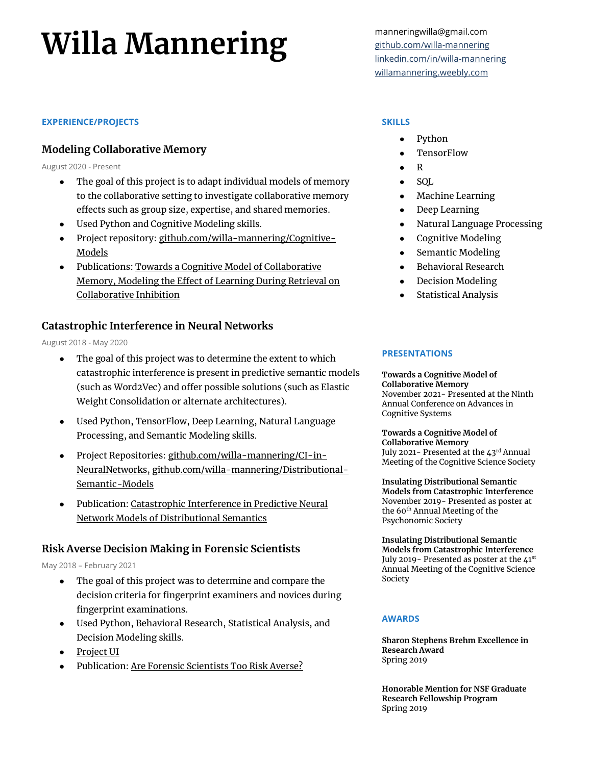# Willa Mannering manneringwilla@gmail.com

### **EXPERIENCE/PROJECTS**

## **Modeling Collaborative Memory**

August 2020 - Present

- The goal of this project is to adapt individual models of memory to the collaborative setting to investigate collaborative memory effects such as group size, expertise, and shared memories.
- Used Python and Cognitive Modeling skills.
- Project repository[: github.com/willa-mannering/Cognitive-](https://github.com/willa-mannering/Cognitive-Models)[Models](https://github.com/willa-mannering/Cognitive-Models)
- Publications[: Towards a Cognitive Model of Collaborative](https://willamannering.weebly.com/uploads/1/2/1/7/121718304/modelingcollaborativememory.pdf)  [Memory,](https://willamannering.weebly.com/uploads/1/2/1/7/121718304/modelingcollaborativememory.pdf) [Modeling the Effect of Learning During Retrieval on](https://willamannering.weebly.com/uploads/1/2/1/7/121718304/mannering_cogsci22_unanonymized.pdf)  [Collaborative Inhibition](https://willamannering.weebly.com/uploads/1/2/1/7/121718304/mannering_cogsci22_unanonymized.pdf)

## **Catastrophic Interference in Neural Networks**

August 2018 - May 2020

- The goal of this project was to determine the extent to which catastrophic interference is present in predictive semantic models (such as Word2Vec) and offer possible solutions (such as Elastic Weight Consolidation or alternate architectures).
- Used Python, TensorFlow, Deep Learning, Natural Language Processing, and Semantic Modeling skills.
- Project Repositories[: github.com/willa-mannering/CI-in-](https://github.com/willa-mannering/Catastrophic-Interference-in-Neural-Networks)[NeuralNetworks,](https://github.com/willa-mannering/Catastrophic-Interference-in-Neural-Networks) [github.com/willa-mannering/Distributional-](https://github.com/willa-mannering/Distributional-Semantic-Models)[Semantic-Models](https://github.com/willa-mannering/Distributional-Semantic-Models)
- Publication: Catastrophic Interference in Predictive Neural [Network Models of Distributional Semantics](https://link.springer.com/epdf/10.1007/s42113-020-00089-5?sharing_token=AJ44znU8_aAOwMTInchBd_e4RwlQNchNByi7wbcMAY4G9lBvxdUwp5L93AVzoM_xY9EPN5yODgJE-H3Ame8UH4IY0NEvrBTqg1sxZP63zXZSgZHDa-yxB23CyIW4SSQS1oSzCVxRTKeVlrGDaBu0zh87Lxp42_rVWws1zWQ39RQ%3D)

## **Risk Averse Decision Making in Forensic Scientists**

May 2018 – February 2021

- The goal of this project was to determine and compare the decision criteria for fingerprint examiners and novices during fingerprint examinations.
- Used Python, Behavioral Research, Statistical Analysis, and Decision Modeling skills.
- [Project UI](https://buseylab.sitehost.iu.edu/fingerprintvalues/?sandbox)
- Publication[: Are Forensic Scientists Too Risk Averse?](https://onlinelibrary.wiley.com/doi/10.1111/1556-4029.14700)

[github.com/willa-mannering](https://github.com/willa-mannering) [linkedin.com/in/willa-mannering](https://www.linkedin.com/in/willa-mannering/) [willamannering.weebly.com](https://willamannering.weebly.com/)

#### **SKILLS**

- Python
- **TensorFlow**
- $\mathbf{R}$
- **SOL**
- **Machine Learning**
- Deep Learning
- Natural Language Processing
- Cognitive Modeling
- Semantic Modeling
- Behavioral Research
- Decision Modeling
- **Statistical Analysis**

#### **PRESENTATIONS**

**Towards a Cognitive Model of Collaborative Memory** November 2021- Presented at the Ninth Annual Conference on Advances in Cognitive Systems

**Towards a Cognitive Model of Collaborative Memory** July 2021- Presented at the 43rd Annual Meeting of the Cognitive Science Society

**Insulating Distributional Semantic Models from Catastrophic Interference** November 2019- Presented as poster at the 60<sup>th</sup> Annual Meeting of the Psychonomic Society

**Insulating Distributional Semantic Models from Catastrophic Interference** July 2019 - Presented as poster at the 41st Annual Meeting of the Cognitive Science Society

#### **AWARDS**

**Sharon Stephens Brehm Excellence in Research Award** Spring 2019

**Honorable Mention for NSF Graduate Research Fellowship Program** Spring 2019